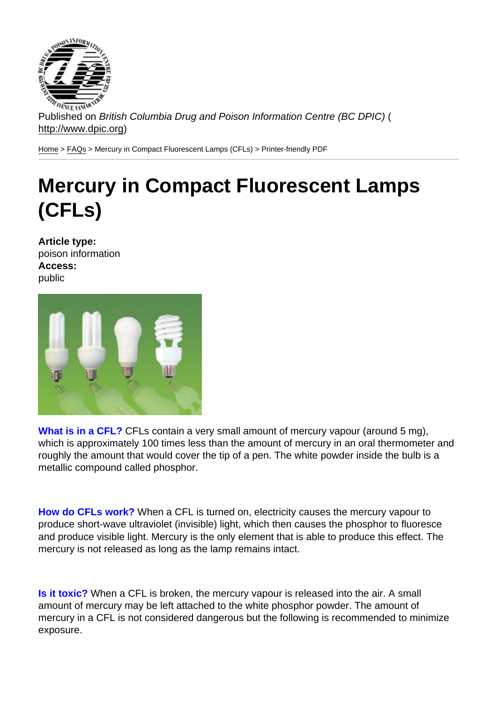Published on British Columbia Drug and Poison Information Centre (BC DPIC) ( http://www.dpic.org)

Home > FAQs > Mercury in Compact Fluorescent Lamps (CFLs) > Printer-friendly PDF

## [Me](http://www.dpic.org/)[rcu](http://www.dpic.org/faq)ry in Compact Fluorescent Lamps (CFLs)

Article type: poison information Access: public

What is in a CFL? CFLs contain a very small amount of mercury vapour (around 5 mg), which is approximately 100 times less than the amount of mercury in an oral thermometer and roughly the amount that would cover the tip of a pen. The white powder inside the bulb is a metallic compound called phosphor.

How do CFLs work? When a CFL is turned on, electricity causes the mercury vapour to produce short-wave ultraviolet (invisible) light, which then causes the phosphor to fluoresce and produce visible light. Mercury is the only element that is able to produce this effect. The mercury is not released as long as the lamp remains intact.

Is it toxic? When a CFL is broken, the mercury vapour is released into the air. A small amount of mercury may be left attached to the white phosphor powder. The amount of mercury in a CFL is not considered dangerous but the following is recommended to minimize exposure.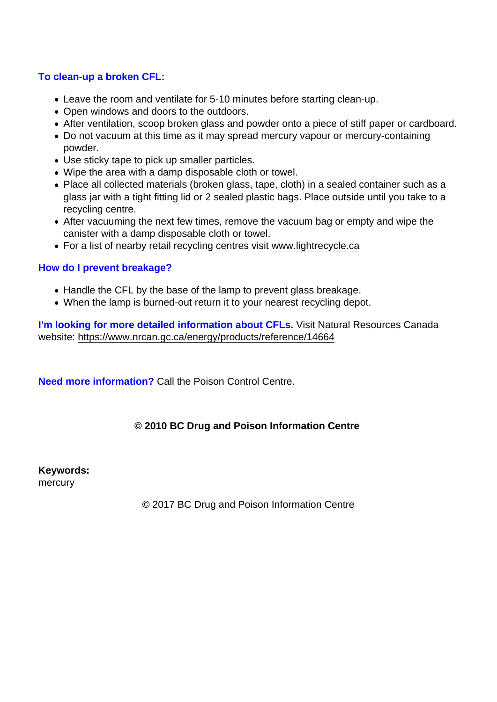## To clean-up a broken CFL:

- Leave the room and ventilate for 5-10 minutes before starting clean-up.
- Open windows and doors to the outdoors.
- After ventilation, scoop broken glass and powder onto a piece of stiff paper or cardboard.
- Do not vacuum at this time as it may spread mercury vapour or mercury-containing powder.
- Use sticky tape to pick up smaller particles.
- Wipe the area with a damp disposable cloth or towel.
- Place all collected materials (broken glass, tape, cloth) in a sealed container such as a glass jar with a tight fitting lid or 2 sealed plastic bags. Place outside until you take to a recycling centre.
- After vacuuming the next few times, remove the vacuum bag or empty and wipe the canister with a damp disposable cloth or towel.
- For a list of nearby retail recycling centres visit www.lightrecycle.ca

## How do I prevent breakage?

- Handle the CFL by the base of the lamp to pre[vent glass breakage.](http://www.lightrecycle.ca/)
- When the lamp is burned-out return it to your nearest recycling depot.

I'm looking for more detailed information about CFLs. Visit Natural Resources Canada website: https://www.nrcan.gc.ca/energy/products/reference/14664

Need more information? [Call the Poison Control Centre.](https://www.nrcan.gc.ca/energy/products/reference/14664)

© 2010 BC Drug and Poison Information Centre

Keywords: mercury

© 2017 BC Drug and Poison Information Centre